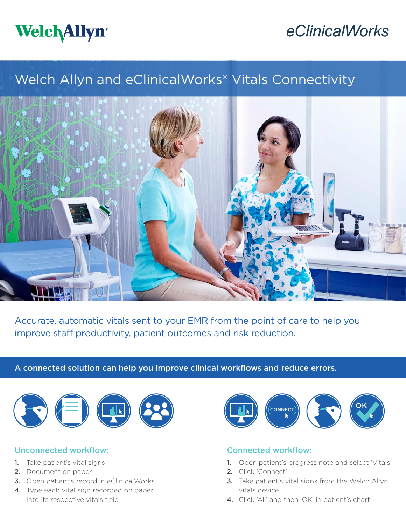

# eClinicalWorks

## Welch Allyn and eClinicalWorks® Vitals Connectivity



Accurate, automatic vitals sent to your EMR from the point of care to help you improve staff productivity, patient outcomes and risk reduction.

#### A connected solution can help you improve clinical workflows and reduce errors.



#### Unconnected workflow:

- 1. Take patient's vital signs
- 2. Document on paper
- 3. Open patient's record in eClinicalWorks
- 4. Type each vital sign recorded on paper into its respective vitals field



#### Connected workflow:

- 1. Open patient's progress note and select 'Vitals'
- 2. Click 'Connect'
- **3.** Take patient's vital signs from the Welch Allyn vitals device
- 4. Click 'All' and then 'OK' in patient's chart